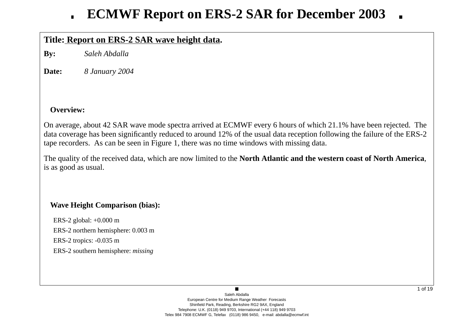## **Title: Report on ERS-2 SAR wa ve height data.**

**By:** *Saleh Abdalla*

**Date:***8 January 2004*

## **Overview:**

On average, about 42 SAR wave mode spectra arrived at ECMWF every 6 hours of which 21.1% have been rejected. The data co verage has been significantly reduced to around 12% of the usual data reception following the failure of the ERS-2 tape recorders. As can be seen in Figure 1, there was no time windows with missing data.

The quality of the recei ved data, which are now limited to the **North Atlantic and the western coast of North America**, is as good as usual.

## **Wa ve Height Comparison (bias):**

ERS-2 global: +0.000 m ERS-2 northern hemisphere: 0.003 m ERS-2 tropics: -0.035 m ERS-2 southern hemisphere: *missing*

> Saleh AbdallaEuropean Centre for Medium Range Weather Forecasts Shinfield Park, Reading, Berkshire RG2 9AX, England Telephone: U.K. (0118) 949 9703, International (+44 118) 949 9703 Telex 984 7908 ECMWF G, Telefax (0118) 986 9450, e-mail: abdalla@ecmwf.int

 $\blacksquare$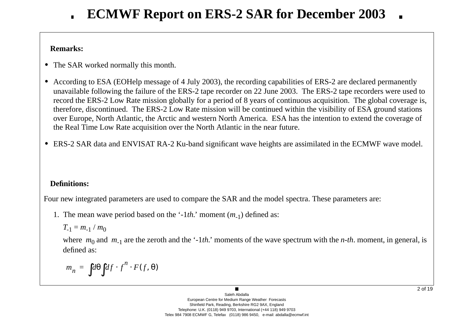## **Remarks:**

- **•** The SAR worked normally this month.
- **•** According to ESA (EOHelp message of 4 July 2003), the recording capabilities of ERS-2 are declared permanently una vailable following the failure of the ERS-2 tape recorder on 22 June 2003. The ERS-2 tape recorders were used to record the ERS-2 Low Rate mission globally for a period of 8 years of continuous acquisition. The global coverage is, therefore, discontinued. The ERS-2 Low Rate mission will be continued within the visibility of ESA ground stations o ver Europe, North Atlantic, the Arctic and western North America. ESA has the intention to extend the co verage of the Real Time Low Rate acquisition o ver the North Atlantic in the near future.
- ERS-2 SAR data and ENVISAT RA-2 Ku-band significant wave heights are assimilated in the ECMWF wave model.

## **Definitions:**

Four new integrated parameters are used to compare the SAR and the model spectra. These parameters are:

1. The mean wave period based on the '-1*th*.' moment (*m*<sub>-1</sub>) defined as:

$$
T_{-1}=m_{-1}/m_0
$$

where  $m_0$  and  $m_{-1}$  are the zeroth and the '-1*th*.' moments of the wave spectrum with the *n-th*. moment, in general, is defined as:

$$
m_n = \int d\theta \int df \cdot f^n \cdot F(f, \theta)
$$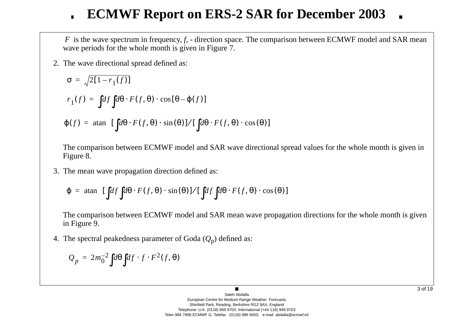*F* is the wave spectrum in frequency, *f*, - direction space. The comparison between ECMWF model and SAR mean wave periods for the whole month is given in Figure 7.

2. The w a ve directional spread defined as:

$$
\sigma = \sqrt{2[1 - r_1(f)]}
$$
  
\n
$$
r_1(f) = \int df \int d\theta \cdot F(f, \theta) \cdot \cos[\theta - \varphi(f)]
$$
  
\n
$$
\varphi(f) = \operatorname{atan} \left\{ [\int d\theta \cdot F(f, \theta) \cdot \sin(\theta)] / [\int d\theta \cdot F(f, \theta) \cdot \cos(\theta)] \right\}
$$

The comparison between ECMWF model and SAR wave directional spread values for the whole month is given in Figure 8.

3. The mean w a ve propagation direction defined as:

$$
\varphi = \text{atan}\Bigg\{ [\int df \int d\theta \cdot F(f, \theta) \cdot \sin(\theta)] / [\int df \int d\theta \cdot F(f, \theta) \cdot \cos(\theta)] \Bigg\}
$$

The comparison between ECMWF model and SAR mean wave propagation directions for the whole month is given in Figure 9.

4. The spectral peakedness parameter of Goda ( *Q* <sup>p</sup>) defined as:

$$
Q_p = 2m_0^{-2} \int d\theta \int df \cdot f \cdot F^2(f, \theta)
$$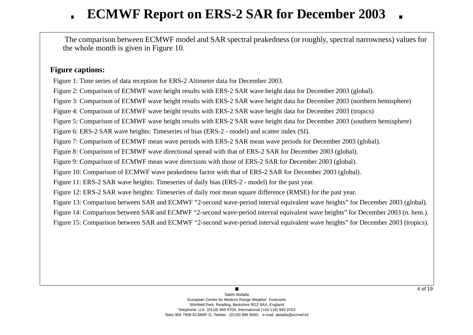The comparison between ECMWF model and SAR spectral peakedness (or roughly, spectral narrowness) values for the whole month is gi ven in Figure 10.

### **Figure captions:**

Figure 1: Time series of data reception for ERS-2 Altimeter data for December 2003.

Figure 2: Comparison of ECMWF wave height results with ERS-2 SAR wave height data for December 2003 (global).

Figure 3: Comparison of ECMWF wave height results with ERS-2 SAR wave height data for December 2003 (northern hemisphere)

Figure 4: Comparison of ECMWF wave height results with ERS-2 SAR wave height data for December 2003 (tropics)

Figure 5: Comparison of ECMWF wave height results with ERS-2 SAR wave height data for December 2003 (southern hemisphere)

Figure 6: ERS-2 SAR wave heights: Timeseries of bias (ERS-2 - model) and scatter index (SI).

Figure 7: Comparison of ECMWF mean wave periods with ERS-2 SAR mean wave periods for December 2003 (global).

Figure 8: Comparison of ECMWF wave directional spread with that of ERS-2 SAR for December 2003 (global).

Figure 9: Comparison of ECMWF mean wave directions with those of ERS-2 SAR for December 2003 (global).

Figure 10: Comparison of ECMWF wave peakedness factor with that of ERS-2 SAR for December 2003 (global).

Figure 11: ERS-2 SAR wave heights: Timeseries of daily bias (ERS-2 - model) for the past year.

Figure 12: ERS-2 SAR wave heights: Timeseries of daily root mean square difference (RMSE) for the past year.

Figure 13: Comparison between SAR and ECMWF "2-second wave-period interval equivalent wave heights" for December 2003 (global).

Figure 14: Comparison between SAR and ECMWF "2-second wave-period interval equivalent wave heights" for December 2003 (n. hem.).

Figure 15: Comparison between SAR and ECMWF "2-second wave-period interval equivalent wave heights" for December 2003 (tropics).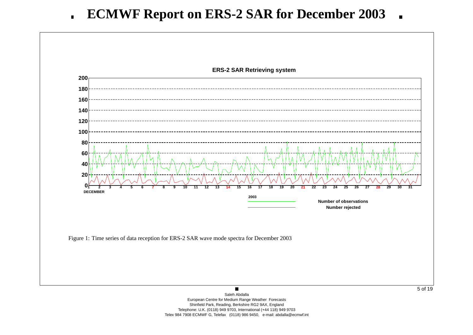

European Centre for Medium Range Weather Forecasts Shinfield Park, Reading, Berkshire RG2 9AX, England Telephone: U.K. (0118) 949 9703, International (+44 118) 949 9703 Telex 984 7908 ECMWF G, Telefax (0118) 986 9450, e-mail: abdalla@ecmwf.int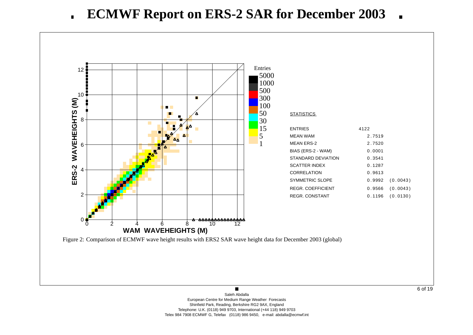

6 of 19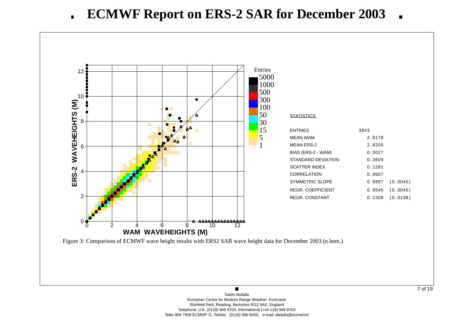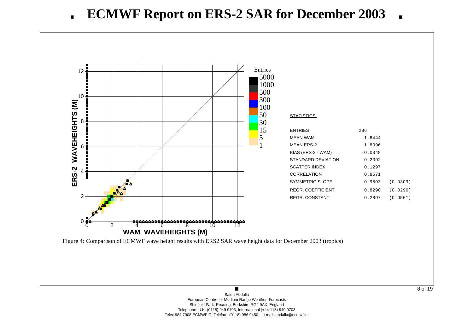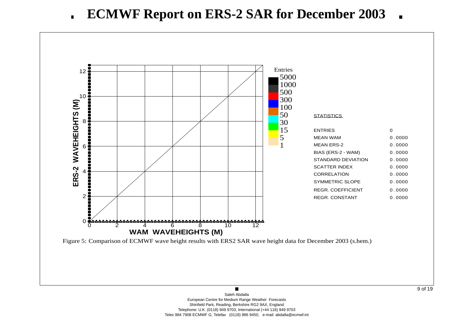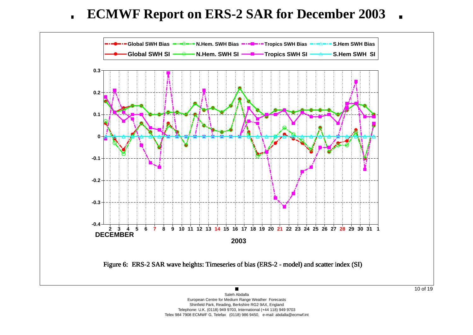**ECMWF Report on ERS-2 SAR for December 2003**  $\blacksquare$  $\blacksquare$ 



European Centre for Medium Range Weather Forecasts Shinfield Park, Reading, Berkshire RG2 9AX, England Telephone: U.K. (0118) 949 9703, International (+44 118) 949 9703 Telex 984 7908 ECMWF G, Telefax (0118) 986 9450, e-mail: abdalla@ecmwf.int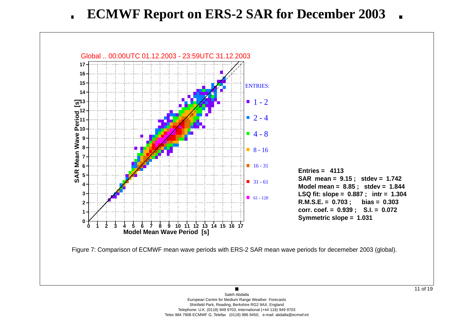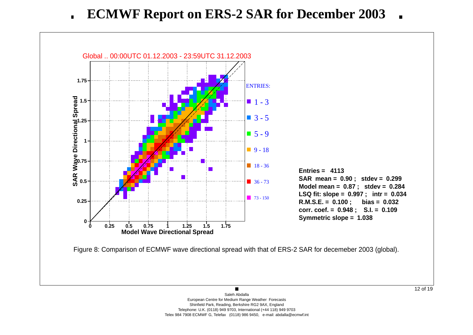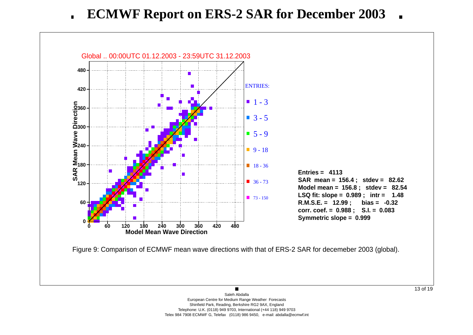**ECMWF Report on ERS-2 SAR for December 2003**  $\blacksquare$ 

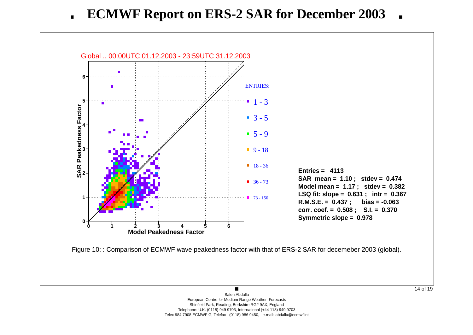**ECMWF Report on ERS-2 SAR for December 2003**  $\blacksquare$ 

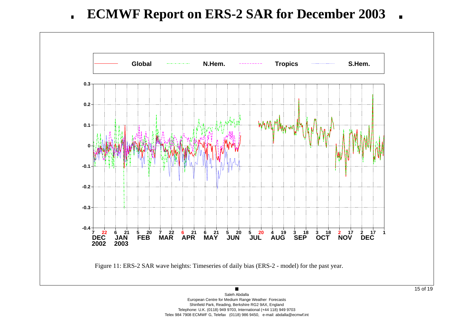**ECMWF Report on ERS-2 SAR for December 2003**  $\blacksquare$  $\blacksquare$ 

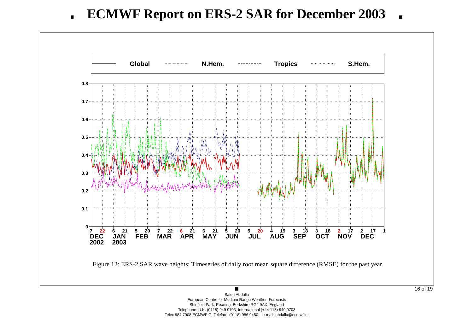**ECMWF Report on ERS-2 SAR for December 2003**  $\blacksquare$  $\blacksquare$ 

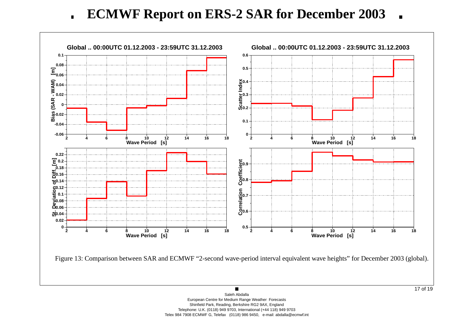**ECMWF Report on ERS-2 SAR for December 2003**  $\blacksquare$  $\blacksquare$ 

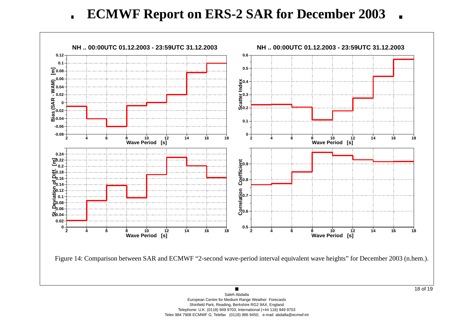**ECMWF Report on ERS-2 SAR for December 2003**  $\blacksquare$  $\blacksquare$